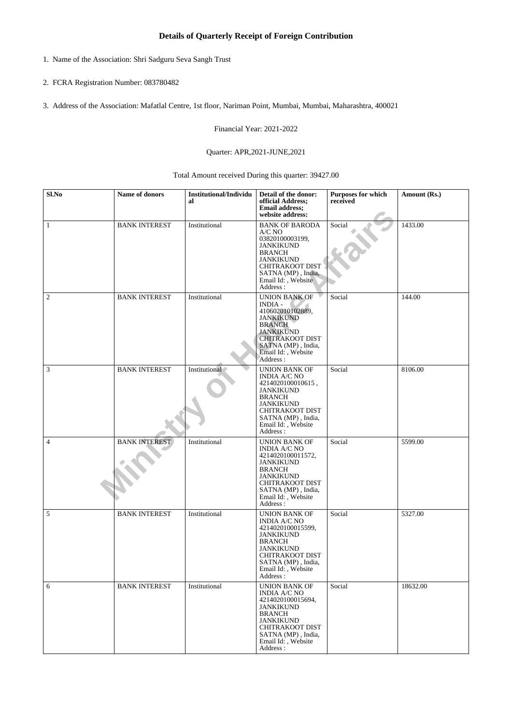## **Details of Quarterly Receipt of Foreign Contribution**

- 1. Name of the Association: Shri Sadguru Seva Sangh Trust
- 2. FCRA Registration Number: 083780482
- 3. Address of the Association: Mafatlal Centre, 1st floor, Nariman Point, Mumbai, Mumbai, Maharashtra, 400021

Financial Year: 2021-2022

## Quarter: APR,2021-JUNE,2021

Total Amount received During this quarter: 39427.00

| Sl.No          | Name of donors       | <b>Institutional/Individu</b><br>al | Detail of the donor:<br>official Address;<br><b>Email address;</b><br>website address:                                                                                                               | Purposes for which<br>received | Amount (Rs.) |
|----------------|----------------------|-------------------------------------|------------------------------------------------------------------------------------------------------------------------------------------------------------------------------------------------------|--------------------------------|--------------|
| 1              | <b>BANK INTEREST</b> | Institutional                       | <b>BANK OF BARODA</b><br>A/C NO<br>03820100003199,<br><b>JANKIKUND</b><br><b>BRANCH</b><br><b>JANKIKUND</b><br>CHITRAKOOT DIST<br>SATNA (MP), India,<br>Email Id:, Website<br>Address:               | Social                         | 1433.00      |
| $\overline{2}$ | <b>BANK INTEREST</b> | Institutional                       | <b>UNION BANK OF</b><br><b>INDIA-</b><br>410602010102889,<br><b>JANKIKUND</b><br><b>BRANCH</b><br><b>JANKIKUND</b><br><b>CHITRAKOOT DIST</b><br>SATNA (MP), India,<br>Email Id:, Website<br>Address: | Social                         | 144.00       |
| 3              | <b>BANK INTEREST</b> | Institutional                       | UNION BANK OF<br>INDIA A/C NO<br>4214020100010615,<br><b>JANKIKUND</b><br><b>BRANCH</b><br><b>JANKIKUND</b><br>CHITRAKOOT DIST<br>SATNA (MP), India,<br>Email Id:, Website<br>Address:               | Social                         | 8106.00      |
| $\overline{4}$ | <b>BANK INTEREST</b> | Institutional                       | UNION BANK OF<br>INDIA A/C NO<br>4214020100011572,<br><b>JANKIKUND</b><br><b>BRANCH</b><br><b>JANKIKUND</b><br>CHITRAKOOT DIST<br>SATNA (MP), India,<br>Email Id:, Website<br>Address:               | Social                         | 5599.00      |
| 5              | <b>BANK INTEREST</b> | Institutional                       | UNION BANK OF<br><b>INDIA A/C NO</b><br>4214020100015599,<br><b>JANKIKUND</b><br><b>BRANCH</b><br><b>JANKIKUND</b><br><b>CHITRAKOOT DIST</b><br>SATNA (MP), India,<br>Email Id:, Website<br>Address: | Social                         | 5327.00      |
| 6              | <b>BANK INTEREST</b> | Institutional                       | UNION BANK OF<br><b>INDIA A/C NO</b><br>4214020100015694,<br><b>JANKIKUND</b><br><b>BRANCH</b><br><b>JANKIKUND</b><br><b>CHITRAKOOT DIST</b><br>SATNA (MP), India,<br>Email Id:, Website<br>Address: | Social                         | 18632.00     |